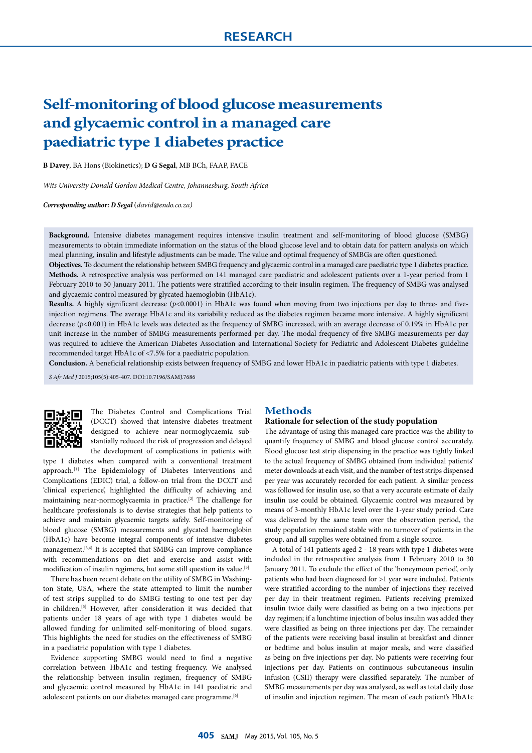# **Self-monitoring of blood glucose measurements and glycaemic control in a managed care paediatric type 1 diabetes practice**

**B Davey**, BA Hons (Biokinetics); **D G Segal**, MB BCh, FAAP, FACE

*Wits University Donald Gordon Medical Centre, Johannesburg, South Africa*

*Corresponding author: D Segal* (*david@endo.co.za)*

**Background.** Intensive diabetes management requires intensive insulin treatment and self-monitoring of blood glucose (SMBG) measurements to obtain immediate information on the status of the blood glucose level and to obtain data for pattern analysis on which meal planning, insulin and lifestyle adjustments can be made. The value and optimal frequency of SMBGs are often questioned.

**Objectives.** To document the relationship between SMBG frequency and glycaemic control in a managed care paediatric type 1 diabetes practice. **Methods.** A retrospective analysis was performed on 141 managed care paediatric and adolescent patients over a 1-year period from 1 February 2010 to 30 January 2011. The patients were stratified according to their insulin regimen. The frequency of SMBG was analysed and glycaemic control measured by glycated haemoglobin (HbA1c).

**Results.** A highly significant decrease (*p*<0.0001) in HbA1c was found when moving from two injections per day to three- and fiveinjection regimens. The average HbA1c and its variability reduced as the diabetes regimen became more intensive. A highly significant decrease ( $p$ <0.001) in HbA1c levels was detected as the frequency of SMBG increased, with an average decrease of 0.19% in HbA1c per unit increase in the number of SMBG measurements performed per day. The modal frequency of five SMBG measurements per day was required to achieve the American Diabetes Association and International Society for Pediatric and Adolescent Diabetes guideline recommended target HbA1c of <7.5% for a paediatric population.

**Conclusion.** A beneficial relationship exists between frequency of SMBG and lower HbA1c in paediatric patients with type 1 diabetes.

*S Afr Med J* 2015;105(5):405-407. DOI:10.7196/SAMJ.7686



The Diabetes Control and Complications Trial (DCCT) showed that intensive diabetes treatment designed to achieve near-normoglycaemia substantially reduced the risk of progression and delayed the development of complications in patients with

type 1 diabetes when compared with a conventional treatment approach.[1] The Epidemiology of Diabetes Interventions and Complications (EDIC) trial, a follow-on trial from the DCCT and 'clinical experience', highlighted the difficulty of achieving and maintaining near-normogly<br>caemia in practice.<br> $\real^{[2]}$  The challenge for healthcare professionals is to devise strategies that help patients to achieve and maintain glycaemic targets safely. Self-monitoring of blood glucose (SMBG) measurements and glycated haemoglobin (HbA1c) have become integral components of intensive diabetes management.[3,4] It is accepted that SMBG can improve compliance with recommendations on diet and exercise and assist with modification of insulin regimens, but some still question its value.[5]

There has been recent debate on the utility of SMBG in Washington State, USA, where the state attempted to limit the number of test strips supplied to do SMBG testing to one test per day in children.[5] However, after consideration it was decided that patients under 18 years of age with type 1 diabetes would be allowed funding for unlimited self-monitoring of blood sugars. This highlights the need for studies on the effectiveness of SMBG in a paediatric population with type 1 diabetes.

Evidence supporting SMBG would need to find a negative correlation between HbA1c and testing frequency. We analysed the relationship between insulin regimen, frequency of SMBG and glycaemic control measured by HbA1c in 141 paediatric and adolescent patients on our diabetes managed care programme.<sup>[6]</sup>

#### **Methods**

#### **Rationale for selection of the study population**

The advantage of using this managed care practice was the ability to quantify frequency of SMBG and blood glucose control accurately. Blood glucose test strip dispensing in the practice was tightly linked to the actual frequency of SMBG obtained from individual patients' meter downloads at each visit, and the number of test strips dispensed per year was accurately recorded for each patient. A similar process was followed for insulin use, so that a very accurate estimate of daily insulin use could be obtained. Glycaemic control was measured by means of 3-monthly HbA1c level over the 1-year study period. Care was delivered by the same team over the observation period, the study population remained stable with no turnover of patients in the group, and all supplies were obtained from a single source.

A total of 141 patients aged 2 - 18 years with type 1 diabetes were included in the retrospective analysis from 1 February 2010 to 30 January 2011. To exclude the effect of the 'honeymoon period', only patients who had been diagnosed for >1 year were included. Patients were stratified according to the number of injections they received per day in their treatment regimen. Patients receiving premixed insulin twice daily were classified as being on a two injections per day regimen; if a lunchtime injection of bolus insulin was added they were classified as being on three injections per day. The remainder of the patients were receiving basal insulin at breakfast and dinner or bedtime and bolus insulin at major meals, and were classified as being on five injections per day. No patients were receiving four injections per day. Patients on continuous subcutaneous insulin infusion (CSII) therapy were classified separately. The number of SMBG measurements per day was analysed, as well as total daily dose of insulin and injection regimen. The mean of each patient's HbA1c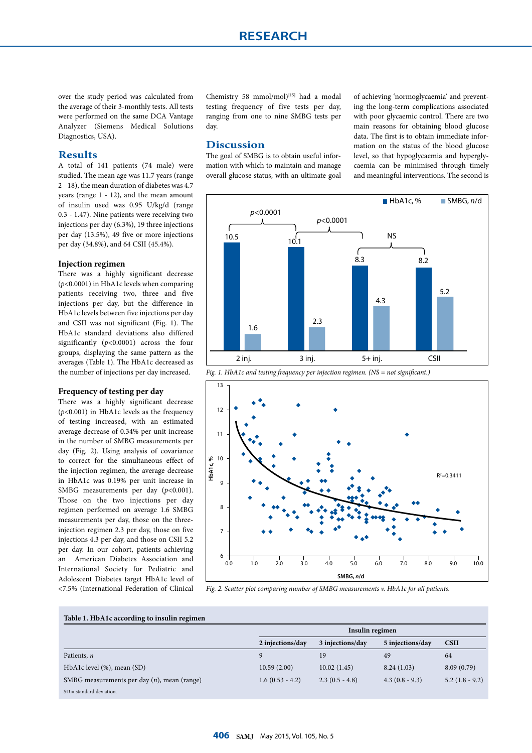over the study period was calculated from the average of their 3-monthly tests. All tests were performed on the same DCA Vantage Analyzer (Siemens Medical Solutions Diagnostics, USA).

## **Results**

A total of 141 patients (74 male) were studied. The mean age was 11.7 years (range 2 - 18), the mean duration of diabetes was 4.7 years (range 1 - 12), and the mean amount of insulin used was 0.95 U/kg/d (range 0.3 - 1.47). Nine patients were receiving two injections per day (6.3%), 19 three injections per day (13.5%), 49 five or more injections per day (34.8%), and 64 CSII (45.4%).

### **Injection regimen**

There was a highly significant decrease (*p*<0.0001) in HbA1c levels when comparing patients receiving two, three and five injections per day, but the difference in HbA1c levels between five injections per day and CSII was not significant (Fig. 1). The HbA1c standard deviations also differed significantly (*p*<0.0001) across the four groups, displaying the same pattern as the averages (Table 1). The HbA1c decreased as the number of injections per day increased.

#### **Frequency of testing per day**

There was a highly significant decrease (*p*<0.001) in HbA1c levels as the frequency of testing increased, with an estimated average decrease of 0.34% per unit increase in the number of SMBG measurements per day (Fig. 2). Using analysis of covariance to correct for the simultaneous effect of the injection regimen, the average decrease in HbA1c was 0.19% per unit increase in SMBG measurements per day (p<0.001). Those on the two injections per day regimen performed on average 1.6 SMBG measurements per day, those on the threeinjection regimen 2.3 per day, those on five injections 4.3 per day, and those on CSII 5.2 per day. In our cohort, patients achieving an American Diabetes Association and International Society for Pediatric and Adolescent Diabetes target HbA1c level of <7.5% (International Federation of Clinical

Chemistry 58 mmol/mol)<sup>[15]</sup> had a modal testing frequency of five tests per day, ranging from one to nine SMBG tests per day.

#### **Discussion**

The goal of SMBG is to obtain useful information with which to maintain and manage overall glucose status, with an ultimate goal of achieving 'normoglycaemia' and preventing the long-term complications associated with poor glycaemic control. There are two main reasons for obtaining blood glucose data. The first is to obtain immediate information on the status of the blood glucose level, so that hypoglycaemia and hyperglycaemia can be minimised through timely and meaningful interventions. The second is







*Fig. 2. Scatter plot comparing number of SMBG measurements v. HbA1c for all patients.* 

**Table 1. HbA1c according to insulin regimen**

|                                                |                   | Insulin regimen  |                  |                |  |
|------------------------------------------------|-------------------|------------------|------------------|----------------|--|
|                                                | 2 injections/day  | 3 injections/day | 5 injections/day | <b>CSII</b>    |  |
| Patients, n                                    |                   | 19               | 49               | 64             |  |
| HbA1c level (%), mean (SD)                     | 10.59(2.00)       | 10.02(1.45)      | 8.24(1.03)       | 8.09(0.79)     |  |
| SMBG measurements per day $(n)$ , mean (range) | $1.6(0.53 - 4.2)$ | $2.3(0.5 - 4.8)$ | $4.3(0.8-9.3)$   | $5.2(1.8-9.2)$ |  |
| $SD = standard deviation$ .                    |                   |                  |                  |                |  |